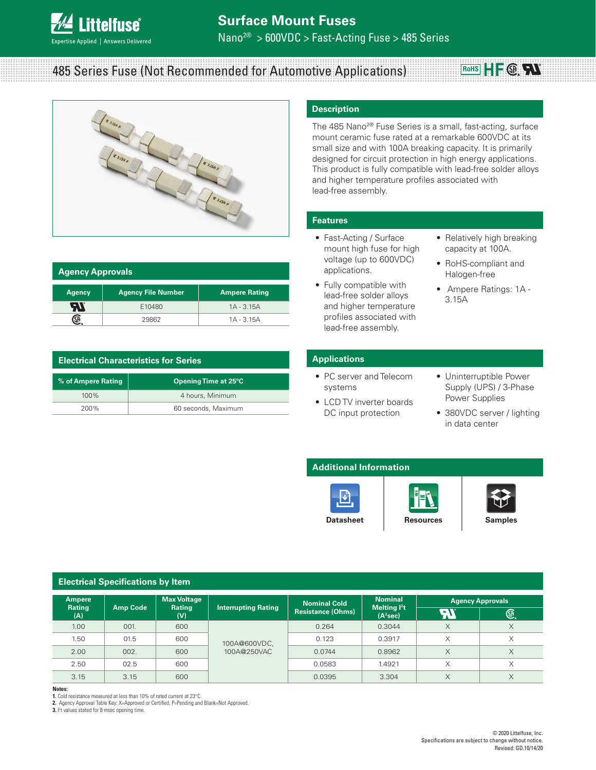

# 485 Series Fuse (Not Recommended for Automotive Applications)



| <b>Agency Approvals</b> |                           |                      |  |  |
|-------------------------|---------------------------|----------------------|--|--|
| <b>Agency</b>           | <b>Agency File Number</b> | <b>Ampere Rating</b> |  |  |
| - 1                     | E10480                    | $1A - 3.15A$         |  |  |
|                         | 29862                     | $1A - 3.15A$         |  |  |

| <b>Electrical Characteristics for Series</b> |                      |  |  |
|----------------------------------------------|----------------------|--|--|
| % of Ampere Rating                           | Opening Time at 25°C |  |  |
| $100\%$                                      | 4 hours, Minimum     |  |  |
| 200%                                         | 60 seconds, Maximum  |  |  |

# **Description**

The 485 Nano<sup>2®</sup> Fuse Series is a small, fast-acting, surface mount ceramic fuse rated at a remarkable 600VDC at its small size and with 100A breaking capacity. It is primarily designed for circuit protection in high energy applications. This product is fully compatible with lead-free solder alloys and higher temperature profiles associated with lead-free assembly.

### **Features**

- Fast-Acting / Surface mount high fuse for high voltage (up to 600VDC) applications.
- Fully compatible with lead-free solder alloys and higher temperature profiles associated with lead-free assembly.
- Relatively high breaking capacity at 100A.

**RoHS**  $H$   $\subseteq$   $\bigoplus$   $\bigoplus$ 

- RoHS-compliant and Halogen-free
- Ampere Ratings: 1A 3.15A

### **Applications**

- PC server and Telecom systems
- LCD TV inverter boards DC input protection
- Uninterruptible Power Supply (UPS) / 3-Phase Power Supplies
- 380VDC server / lighting in data center

# **Additional Information**





**Electrical Specifications by ltem**

| Ampere        |                 | <b>Max Voltage</b> |                             | <b>Nominal Cold</b>      | <b>Nominal</b>                                 | <b>Agency Approvals</b> |               |
|---------------|-----------------|--------------------|-----------------------------|--------------------------|------------------------------------------------|-------------------------|---------------|
| Rating<br>(A) | <b>Amp Code</b> | Rating<br>(V)      | <b>Interrupting Rating</b>  | <b>Resistance (Ohms)</b> | Melting <sup>2</sup> t<br>(A <sup>2</sup> sec) | 77                      | $\circledast$ |
| 1.00          | 001.            | 600                | 100A@600VDC,<br>100A@250VAC | 0.264                    | 0.3044                                         | X                       | X             |
| 1.50          | 01.5            | 600                |                             | 0.123                    | 0.3917                                         | X                       | X             |
| 2.00          | 002.            | 600                |                             | 0.0744                   | 0.8962                                         | X                       | X             |
| 2.50          | 02.5            | 600                |                             | 0.0583                   | 1.4921                                         | X                       | X             |
| 3.15          | 3.15            | 600                |                             | 0.0395                   | 3.304                                          | X                       | X             |

**Notes:** 

**1.** Cold resistance measured at less than 10% of rated current at 23°C.

2. Agency Approval Table Key: X=Approved or Certified, P=Pending and Blank=Not Approved.

**3.** I<sup>2</sup>t values stated for 8 msec opening time.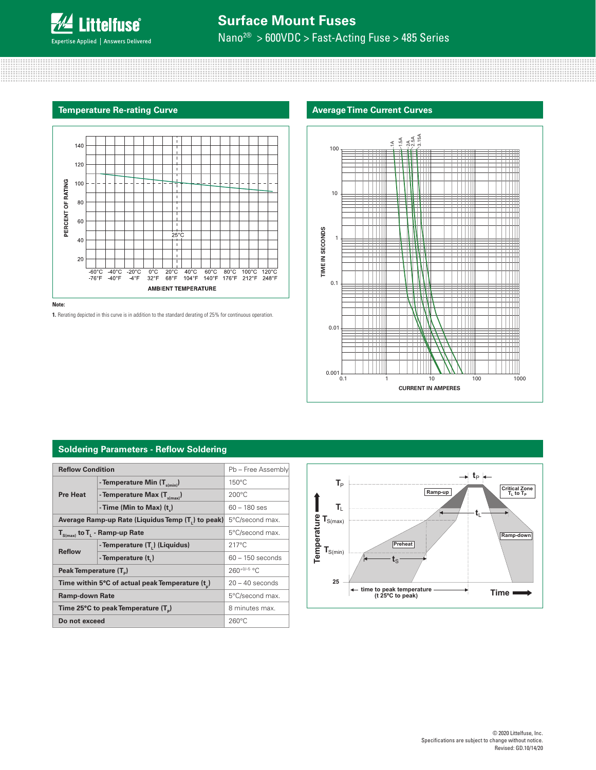

# **Temperature Re-rating Curve Average Time Current Curves**



**Note:** 

**1.** Rerating depicted in this curve is in addition to the standard derating of 25% for continuous operation.



# **Soldering Parameters - Reflow Soldering**

| <b>Reflow Condition</b>                            | Pb - Free Assembly                             |                    |  |
|----------------------------------------------------|------------------------------------------------|--------------------|--|
|                                                    |                                                |                    |  |
| <b>Pre Heat</b>                                    | - Temperature Min $(T_{s(min)})$               | $150^{\circ}$ C    |  |
|                                                    | - Temperature Max $(T_{s(max)})$               | $200^{\circ}$ C    |  |
|                                                    | - Time (Min to Max) $(t_2)$                    | $60 - 180$ ses     |  |
| Average Ramp-up Rate (Liquidus Temp (T, ) to peak) |                                                | 5°C/second max.    |  |
| $T_{S(max)}$ to $T_{L}$ - Ramp-up Rate             |                                                | 5°C/second max.    |  |
| <b>Reflow</b>                                      | - Temperature (T <sub>1</sub> ) (Liquidus)     | $217^{\circ}$ C    |  |
|                                                    | - Temperature (t,)                             | $60 - 150$ seconds |  |
| Peak Temperature (T <sub>a</sub> )                 |                                                | $260+0/-5$ °C      |  |
|                                                    | Time within 5°C of actual peak Temperature (t) |                    |  |
| <b>Ramp-down Rate</b>                              |                                                | 5°C/second max.    |  |
| Time 25°C to peak Temperature (T <sub>a</sub> )    |                                                | 8 minutes max.     |  |
| Do not exceed                                      |                                                | $260^{\circ}$ C    |  |